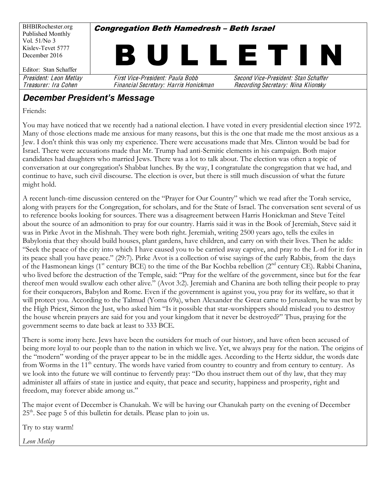BHBIRochester.org Published Monthly Vol. 51/No 3 Kislev-Tevet 5777 December 2016 Editor: Stan Schaffer **Congregation Beth Hamedresh - Beth Israel** I L L E T I I President: Leon Metlay First Vice-President: Paula Bobb Second Vice-President: Stan Schaffe<sup>r</sup> Treasurer: Ira Cohe<sup>n</sup> Financial Secretary: Harri<sup>s</sup> Honickman Recording Secretary: Nina Klionsky

#### **December President's Message**

Friends:

You may have noticed that we recently had a national election. I have voted in every presidential election since 1972. Many of those elections made me anxious for many reasons, but this is the one that made me the most anxious as a Jew. I don't think this was only my experience. There were accusations made that Mrs. Clinton would be bad for Israel. There were accusations made that Mr. Trump had anti-Semitic elements in his campaign. Both major candidates had daughters who married Jews. There was a lot to talk about. The election was often a topic of conversation at our congregation's Shabbat lunches. By the way, I congratulate the congregation that we had, and continue to have, such civil discourse. The election is over, but there is still much discussion of what the future might hold.

A recent lunch-time discussion centered on the "Prayer for Our Country" which we read after the Torah service, along with prayers for the Congregation, for scholars, and for the State of Israel. The conversation sent several of us to reference books looking for sources. There was a disagreement between Harris Honickman and Steve Teitel about the source of an admonition to pray for our country. Harris said it was in the Book of Jeremiah, Steve said it was in Pirke Avot in the Mishnah. They were both right. Jeremiah, writing 2500 years ago, tells the exiles in Babylonia that they should build houses, plant gardens, have children, and carry on with their lives. Then he adds: "Seek the peace of the city into which I have caused you to be carried away captive, and pray to the L-rd for it: for in its peace shall you have peace." (29:7). Pirke Avot is a collection of wise sayings of the early Rabbis, from the days of the Hasmonean kings (1<sup>st</sup> century BCE) to the time of the Bar Kochba rebellion (2<sup>nd</sup> century CE). Rabbi Chanina, who lived before the destruction of the Temple, said: "Pray for the welfare of the government, since but for the fear thereof men would swallow each other alive." (Avot 3:2). Jeremiah and Chanina are both telling their people to pray for their conquerors, Babylon and Rome. Even if the government is against you, you pray for its welfare, so that it will protect you. According to the Talmud (Yoma 69a), when Alexander the Great came to Jerusalem, he was met by the High Priest, Simon the Just, who asked him "Is it possible that star-worshippers should mislead you to destroy the house wherein prayers are said for you and your kingdom that it never be destroyed?" Thus, praying for the government seems to date back at least to 333 BCE.

There is some irony here. Jews have been the outsiders for much of our history, and have often been accused of being more loyal to our people than to the nation in which we live. Yet, we always pray for the nation. The origins of the "modern" wording of the prayer appear to be in the middle ages. According to the Hertz siddur, the words date from Worms in the 11<sup>th</sup> century. The words have varied from country to country and from century to century. As we look into the future we will continue to fervently pray: "Do thou instruct them out of thy law, that they may administer all affairs of state in justice and equity, that peace and security, happiness and prosperity, right and freedom, may forever abide among us."

The major event of December is Chanukah. We will be having our Chanukah party on the evening of December  $25<sup>th</sup>$ . See page 5 of this bulletin for details. Please plan to join us.

Try to stay warm!

*Leon Metlay*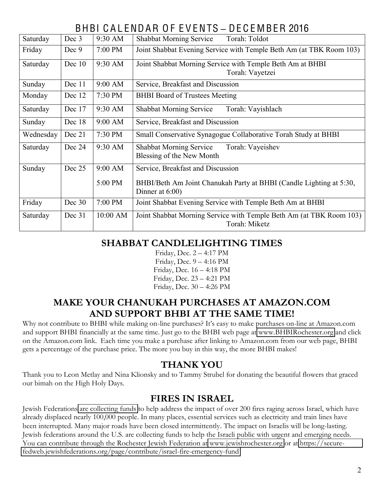# BHBI C A L ENDAR O F E V ENTS **±** DE C E MBER 2016

| Saturday  | Dec 3  | 9:30 AM  | <b>Shabbat Morning Service</b><br>Torah: Toldot                                           |  |  |  |
|-----------|--------|----------|-------------------------------------------------------------------------------------------|--|--|--|
| Friday    | Dec 9  | 7:00 PM  | Joint Shabbat Evening Service with Temple Beth Am (at TBK Room 103)                       |  |  |  |
| Saturday  | Dec 10 | 9:30 AM  | Joint Shabbat Morning Service with Temple Beth Am at BHBI<br>Torah: Vayetzei              |  |  |  |
| Sunday    | Dec 11 | 9:00 AM  | Service, Breakfast and Discussion                                                         |  |  |  |
| Monday    | Dec 12 | 7:30 PM  | <b>BHBI</b> Board of Trustees Meeting                                                     |  |  |  |
| Saturday  | Dec 17 | 9:30 AM  | Torah: Vayishlach<br><b>Shabbat Morning Service</b>                                       |  |  |  |
| Sunday    | Dec 18 | 9:00 AM  | Service, Breakfast and Discussion                                                         |  |  |  |
| Wednesday | Dec 21 | 7:30 PM  | Small Conservative Synagogue Collaborative Torah Study at BHBI                            |  |  |  |
| Saturday  | Dec 24 | 9:30 AM  | <b>Shabbat Morning Service</b><br>Torah: Vayeishev<br>Blessing of the New Month           |  |  |  |
| Sunday    | Dec 25 | 9:00 AM  | Service, Breakfast and Discussion                                                         |  |  |  |
|           |        | 5:00 PM  | BHBI/Beth Am Joint Chanukah Party at BHBI (Candle Lighting at 5:30,<br>Dinner at $6:00$ ) |  |  |  |
| Friday    | Dec 30 | 7:00 PM  | Joint Shabbat Evening Service with Temple Beth Am at BHBI                                 |  |  |  |
| Saturday  | Dec 31 | 10:00 AM | Joint Shabbat Morning Service with Temple Beth Am (at TBK Room 103)<br>Torah: Miketz      |  |  |  |

### **SHABBAT CANDLELIGHTING TIMES**

Friday, Dec.  $2 - 4:17$  PM Friday, Dec. 9 - 4:16 PM Friday, Dec.  $16 - 4:18$  PM Friday, Dec.  $23 - 4:21$  PM Friday, Dec.  $30 - 4:26$  PM

### **MAKE YOUR CHANUKAH PURCHASES AT AMAZON.COM AND SUPPORT BHBI AT THE SAME TIME!**

Why not contribute to BHBI while making on-line purchases? It's easy to make purchases on-line at Amazon.com and support BHBI financially at the same time. Just go to the BHBI web page at [www.BHBIRochester.org](http://www.bhbirochester.org/) and click on the Amazon.com link. Each time you make a purchase after linking to Amazon.com from our web page, BHBI gets a percentage of the purchase price. The more you buy in this way, the more BHBI makes!

#### **THANK YOU**

Thank you to Leon Metlay and Nina Klionsky and to Tammy Strubel for donating the beautiful flowers that graced our bimah on the High Holy Days.

#### **FIRES IN ISRAEL**

Jewish Federations [are collecting funds](https://secure-fedweb.jewishfederations.org/page/contribute/israel-fire-emergency-fund) to help address the impact of over 200 fires raging across Israel, which have already displaced nearly 100,000 people. In many places, essential services such as electricity and train lines have been interrupted. Many major roads have been closed intermittently. The impact on Israelis will be long-lasting. Jewish federations around the U.S. are collecting funds to help the Israeli public with urgent and emerging needs. You can contribute through the Rochester Jewish Federation at [www.jewishrochester.org](http://www.jewishrochester.org/) or at [https://secure](https://secure-fedweb.jewishfederations.org/page/contribute/israel-fire-emergency-fund)[fedweb.jewishfederations.org/page/contribute/israel-fire-emergency-fund](https://secure-fedweb.jewishfederations.org/page/contribute/israel-fire-emergency-fund)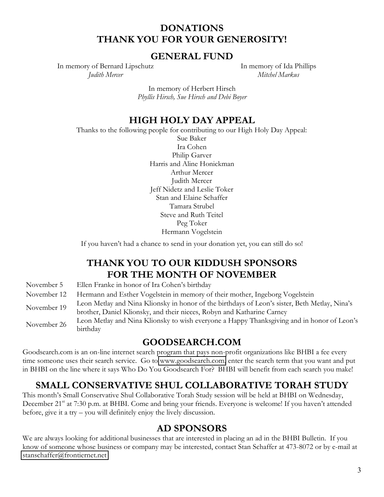### **DONATIONS THANK YOU FOR YOUR GENEROSITY!**

#### **GENERAL FUND**

In memory of Bernard Lipschutz *Judith Mercer*

In memory of Ida Phillips *Mitchel Markus*

In memory of Herbert Hirsch *Phyllis Hirsch, Sue Hirsch and Debi Boyer*

#### **HIGH HOLY DAY APPEAL**

Thanks to the following people for contributing to our High Holy Day Appeal:

Sue Baker Ira Cohen Philip Garver Harris and Aline Honickman Arthur Mercer Judith Mercer Jeff Nidetz and Leslie Toker Stan and Elaine Schaffer Tamara Strubel Steve and Ruth Teitel Peg Toker Hermann Vogelstein

If you haven't had a chance to send in your donation yet, you can still do so!

# **THANK YOU TO OUR KIDDUSH SPONSORS FOR THE MONTH OF NOVEMBER**

- November 5 Ellen Franke in honor of Ira Cohen's birthday
- November 12 Hermann and Esther Vogelstein in memory of their mother, Ingeborg Vogelstein
- November 19 Leon Metlay and Nina Klionsky in honor of the birthdays of Leon's sister, Beth Metlay, Nina's brother, Daniel Klionsky, and their nieces, Robyn and Katharine Carney
- November 26 *Leon Metlay and Nina Klionsky to wish everyone a Happy Thanksgiving and in honor of Leon's* birthday

# **GOODSEARCH.COM**

Goodsearch.com is an on-line internet search program that pays non-profit organizations like BHBI a fee every time someone uses their search service. Go to [www.goodsearch.com,](http://www.goodsearch.com/) enter the search term that you want and put in BHBI on the line where it says Who Do You Goodsearch For? BHBI will benefit from each search you make!

# **SMALL CONSERVATIVE SHUL COLLABORATIVE TORAH STUDY**

This month's Small Conservative Shul Collaborative Torah Study session will be held at BHBI on Wednesday, December 21<sup>st</sup> at 7:30 p.m. at BHBI. Come and bring your friends. Everyone is welcome! If you haven't attended before, give it a try  $-$  you will definitely enjoy the lively discussion.

## **AD SPONSORS**

We are always looking for additional businesses that are interested in placing an ad in the BHBI Bulletin. If you know of someone whose business or company may be interested, contact Stan Schaffer at 473-8072 or by e-mail at [stanschaffer@frontiernet.net](mailto:stanschaffer@frontiernet.net)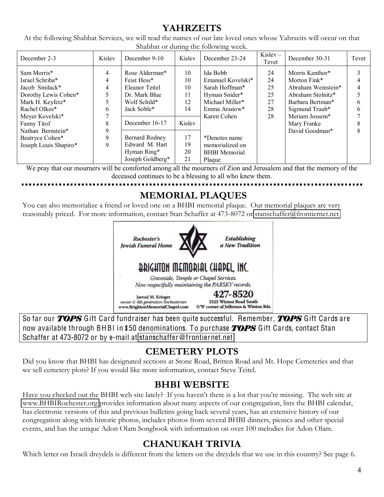# **YAHRZEITS**

At the following Shabbat Services, we will read the names of our late loved ones whose Yahrzeits will occur on that Shabbat or during the following week.

| December 2-3                                                                                                  | Kisley           | December 9-10                                                                                   | Kisley                           | December 23-24                                                                                                                                               | $Kislev -$<br>Tevet                                                                                                                                                 | December 30-31   | Tevet |
|---------------------------------------------------------------------------------------------------------------|------------------|-------------------------------------------------------------------------------------------------|----------------------------------|--------------------------------------------------------------------------------------------------------------------------------------------------------------|---------------------------------------------------------------------------------------------------------------------------------------------------------------------|------------------|-------|
| Sam Morris*<br>Israel Schriba*<br>Jacob Smilack*<br>Dorothy Lewis Cohen*<br>Mark H. Keyfetz*<br>Rachel Olkes* | 4<br>4<br>4<br>6 | Rose Alderman*<br>Feist Hess*<br>Eleanor Teitel<br>Dr. Mark Blue<br>Wolf Schild*<br>Jack Soble* | 10<br>10<br>10<br>11<br>12<br>14 | 24<br>Ida Bobb<br>Emanuel Kovelski*<br>24<br>25<br>Sarah Hoffman*<br>25<br>Hyman Snider*<br>Michael Miller*<br>27<br>28<br>Emma Aranow*<br>28<br>Karen Cohen | Morris Kanthor*<br>Morton Fink*<br>Abraham Weinstein*<br>Abraham Stolnitz*<br>Barbara Bertman*<br>Sigmund Traub*<br>Meriam Jossem*<br>Mary Franke<br>David Goodman* | 4<br>4<br>6<br>6 |       |
| Meyer Kovelski*<br>Fanny Titof<br>Nathan Bernstein*                                                           | 8<br>9           | December 16-17                                                                                  | Kisley                           |                                                                                                                                                              |                                                                                                                                                                     | 8<br>8           |       |
| Beatryce Cohen*<br>Joseph Louis Shapiro*                                                                      | 9<br>9           | Bernard Rodney<br>Edward M. Hart<br>Hyman Ring*<br>Joseph Goldberg*                             | 17<br>19<br>20<br>21             | *Denotes name<br>memorialized on<br><b>BHBI</b> Memorial<br>Plaque                                                                                           |                                                                                                                                                                     |                  |       |

We pray that our mourners will be comforted among all the mourners of Zion and Jerusalem and that the memory of the deceased continues to be a blessing to all who knew them.

# **MEMORIAL PLAQUES**

You can also memorialize a friend or loved one on a BHBI memorial plaque. Our memorial plaques are very reasonably priced. For more information, contact Stan Schaffer at 473-8072 or [stanschaffer@frontiernet.net](mailto:stanschaffer@frontiernet.net)



So far our *TOPS* Gift Card fundraiser has been quite successful. Remember, *TOPS* Gift Cards are now available through BHBI in \$50 denominations. To purchase *TOPS* Gift Cards, contact Stan Schaffer at 473-8072 or by e-mail at stanschaffe[r@fronti](mailto:stanschaffer@frontiernet.net)ernet.net

# **CEMETERY PLOTS**

Did you know that BHBI has designated sections at Stone Road, Britten Road and Mt. Hope Cemeteries and that we sell cemetery plots? If you would like more information, contact Steve Teitel.

# **BHBI WEBSITE**

Have you checked out the BHBI web site lately? If you haven't there is a lot that you're missing. The web site at [www.BHBIRochester.org](http://www.bhbirochester.org/) provides information about many aspects of our congregation, lists the BHBI calendar, has electronic versions of this and previous bulletins going back several years, has an extensive history of our congregation along with historic photos, includes photos from several BHBI dinners, picnics and other special events, and has the unique Adon Olam Songbook with information on over 100 melodies for Adon Olam.

# **CHANUKAH TRIVIA**

Which letter on Israeli dreydels is different from the letters on the dreydels that we use in this country? See page 6.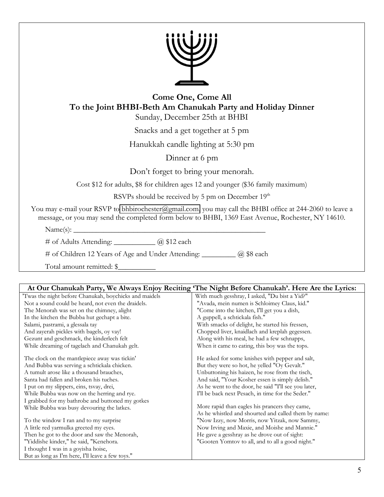

#### **Come One, Come All To the Joint BHBI-Beth Am Chanukah Party and Holiday Dinner**

Sunday, December 25th at BHBI

Snacks and a get together at 5 pm

Hanukkah candle lighting at 5:30 pm

Dinner at 6 pm

Don't forget to bring your menorah.

Cost \$12 for adults, \$8 for children ages 12 and younger (\$36 family maximum)

RSVPs should be received by 5 pm on December  $19<sup>th</sup>$ 

You may e-mail your RSVP to [bhbirochester@gmail.com,](mailto:bhbirochester@gmail.com) you may call the BHBI office at 244-2060 to leave a message, or you may send the completed form below to BHBI, 1369 East Avenue, Rochester, NY 14610.

 $Name(s): \_\_\_\_\_\_$ 

# of Adults Attending: \_\_\_\_\_\_\_\_\_\_\_ @ \$12 each

# of Children 12 Years of Age and Under Attending: \_\_\_\_\_\_\_\_\_ @ \$8 each

Total amount remitted: \$\_\_\_\_\_\_\_\_\_\_

| At Our Chanukah Party, We Always Enjoy Reciting 'The Night Before Chanukah'. Here Are the Lyrics: |                                                      |  |  |  |  |
|---------------------------------------------------------------------------------------------------|------------------------------------------------------|--|--|--|--|
| 'Twas the night before Chanukah, boychicks and maidels                                            | With much gesshray, I asked, "Du bist a Yid?"        |  |  |  |  |
| Not a sound could be heard, not even the draidels.                                                | "Avada, mein numen is Schloimey Claus, kid."         |  |  |  |  |
| The Menorah was set on the chimney, alight                                                        | "Come into the kitchen, I'll get you a dish,         |  |  |  |  |
| In the kitchen the Bubba hut gechapt a bite.                                                      | A guppell, a schtickala fish."                       |  |  |  |  |
| Salami, pastrami, a glessala tay                                                                  | With smacks of delight, he started his fressen,      |  |  |  |  |
| And zayerah pickles with bagels, oy vay!                                                          | Chopped liver, knaidlach and kreplah gegessen.       |  |  |  |  |
| Gezunt and geschmack, the kinderlech felt                                                         | Along with his meal, he had a few schnapps,          |  |  |  |  |
| While dreaming of tagelach and Chanukah gelt.                                                     | When it came to eating, this boy was the tops.       |  |  |  |  |
| The clock on the mantlepiece away was tickin'                                                     | He asked for some knishes with pepper and salt,      |  |  |  |  |
| And Bubba was serving a schtickala chicken.                                                       | But they were so hot, he yelled "Oy Gevalt."         |  |  |  |  |
| A tumult arose like a thousand brauches,                                                          | Unbuttoning his haizen, he rose from the tisch,      |  |  |  |  |
| Santa had fallen and broken his tuches.                                                           | And said, "Your Kosher essen is simply delish."      |  |  |  |  |
| I put on my slippers, eins, tsvay, drei,                                                          | As he went to the door, he said "I'll see you later, |  |  |  |  |
| While Bubba was now on the herring and rye.                                                       | I'll be back next Pesach, in time for the Seder."    |  |  |  |  |
| I grabbed for my bathrobe and buttoned my gotkes                                                  |                                                      |  |  |  |  |
| While Bubba was busy devouring the latkes.                                                        | More rapid than eagles his prancers they came,       |  |  |  |  |
|                                                                                                   | As he whistled and shourted and called them by name: |  |  |  |  |
| To the window I ran and to my surprise                                                            | "Now Izzy, now Morris, now Yitzak, now Sammy,        |  |  |  |  |
| A little red yarmulka greeted my eyes.                                                            | Now Irving and Maxie, and Moishe and Mannie."        |  |  |  |  |
| Then he got to the door and saw the Menorah,                                                      | He gave a gesshray as he drove out of sight:         |  |  |  |  |
| "Yiddishe kinder," he said, "Kenehora.                                                            | "Gooten Yomtov to all, and to all a good night."     |  |  |  |  |
| I thought I was in a goyisha hoise,                                                               |                                                      |  |  |  |  |
| But as long as I'm here, I'll leave a few toys."                                                  |                                                      |  |  |  |  |